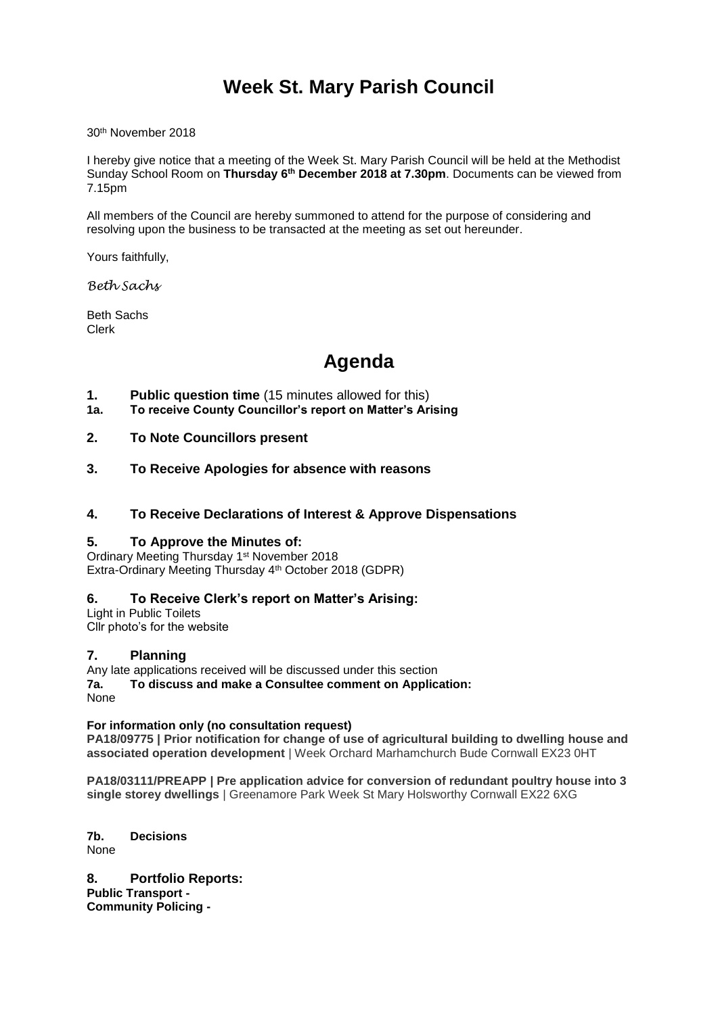# **Week St. Mary Parish Council**

30th November 2018

I hereby give notice that a meeting of the Week St. Mary Parish Council will be held at the Methodist Sunday School Room on **Thursday 6 th December 2018 at 7.30pm**. Documents can be viewed from 7.15pm

All members of the Council are hereby summoned to attend for the purpose of considering and resolving upon the business to be transacted at the meeting as set out hereunder.

Yours faithfully,

*Beth Sachs*

Beth Sachs Clerk

# **Agenda**

- **1. Public question time** (15 minutes allowed for this)
- **1a. To receive County Councillor's report on Matter's Arising**
- **2. To Note Councillors present**
- **3. To Receive Apologies for absence with reasons**
- **4. To Receive Declarations of Interest & Approve Dispensations**

## **5. To Approve the Minutes of:**

Ordinary Meeting Thursday 1<sup>st</sup> November 2018 Extra-Ordinary Meeting Thursday 4th October 2018 (GDPR)

## **6. To Receive Clerk's report on Matter's Arising:**

Light in Public Toilets Cllr photo's for the website

#### **7. Planning**

Any late applications received will be discussed under this section

**7a. To discuss and make a Consultee comment on Application:** None

#### **For information only (no consultation request)**

**PA18/09775 | Prior notification for change of use of agricultural building to dwelling house and associated operation development** | Week Orchard Marhamchurch Bude Cornwall EX23 0HT

**PA18/03111/PREAPP | Pre application advice for conversion of redundant poultry house into 3 single storey dwellings** | Greenamore Park Week St Mary Holsworthy Cornwall EX22 6XG

**7b. Decisions** None

**8. Portfolio Reports: Public Transport - Community Policing -**